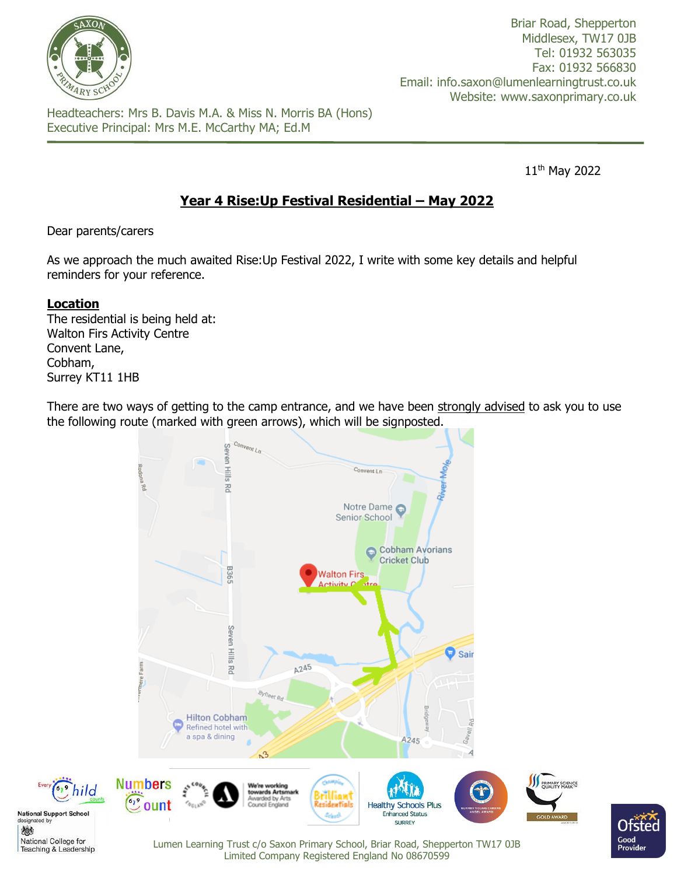

Briar Road, Shepperton Middlesex, TW17 0JB Tel: 01932 563035 Fax: 01932 566830 Email: info.saxon@lumenlearningtrust.co.uk Website: www.saxonprimary.co.uk

Headteachers: Mrs B. Davis M.A. & Miss N. Morris BA (Hons) Executive Principal: Mrs M.E. McCarthy MA; Ed.M

11th May 2022

Ofst

Good

**Provide** 

# **Year 4 Rise:Up Festival Residential – May 2022**

Dear parents/carers

As we approach the much awaited Rise:Up Festival 2022, I write with some key details and helpful reminders for your reference.

# **Location**

戀

The residential is being held at: Walton Firs Activity Centre Convent Lane, Cobham, Surrey KT11 1HB

There are two ways of getting to the camp entrance, and we have been strongly advised to ask you to use the following route (marked with green arrows), which will be signposted.



Limited Company Registered England No 08670599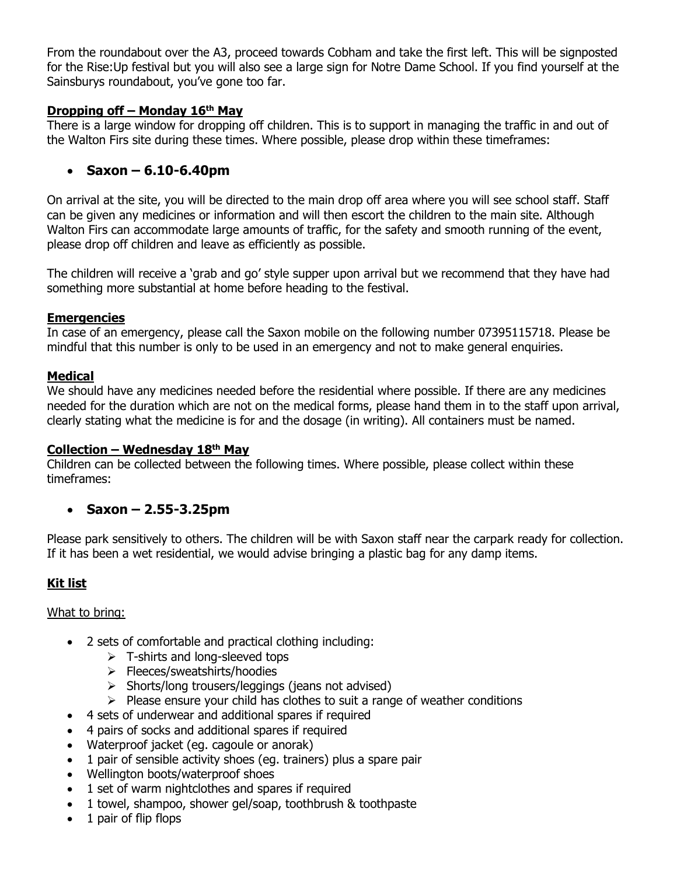From the roundabout over the A3, proceed towards Cobham and take the first left. This will be signposted for the Rise:Up festival but you will also see a large sign for Notre Dame School. If you find yourself at the Sainsburys roundabout, you've gone too far.

### **Dropping off – Monday 16th May**

There is a large window for dropping off children. This is to support in managing the traffic in and out of the Walton Firs site during these times. Where possible, please drop within these timeframes:

### • **Saxon – 6.10-6.40pm**

On arrival at the site, you will be directed to the main drop off area where you will see school staff. Staff can be given any medicines or information and will then escort the children to the main site. Although Walton Firs can accommodate large amounts of traffic, for the safety and smooth running of the event, please drop off children and leave as efficiently as possible.

The children will receive a 'grab and go' style supper upon arrival but we recommend that they have had something more substantial at home before heading to the festival.

#### **Emergencies**

In case of an emergency, please call the Saxon mobile on the following number 07395115718. Please be mindful that this number is only to be used in an emergency and not to make general enquiries.

#### **Medical**

We should have any medicines needed before the residential where possible. If there are any medicines needed for the duration which are not on the medical forms, please hand them in to the staff upon arrival, clearly stating what the medicine is for and the dosage (in writing). All containers must be named.

### **Collection – Wednesday 18th May**

Children can be collected between the following times. Where possible, please collect within these timeframes:

### • **Saxon – 2.55-3.25pm**

Please park sensitively to others. The children will be with Saxon staff near the carpark ready for collection. If it has been a wet residential, we would advise bringing a plastic bag for any damp items.

# **Kit list**

### What to bring:

- 2 sets of comfortable and practical clothing including:
	- $\triangleright$  T-shirts and long-sleeved tops
	- ➢ Fleeces/sweatshirts/hoodies
	- ➢ Shorts/long trousers/leggings (jeans not advised)
	- $\triangleright$  Please ensure your child has clothes to suit a range of weather conditions
- 4 sets of underwear and additional spares if required
- 4 pairs of socks and additional spares if required
- Waterproof jacket (eg. cagoule or anorak)
- 1 pair of sensible activity shoes (eg. trainers) plus a spare pair
- Wellington boots/waterproof shoes
- 1 set of warm nightclothes and spares if required
- 1 towel, shampoo, shower gel/soap, toothbrush & toothpaste
- 1 pair of flip flops